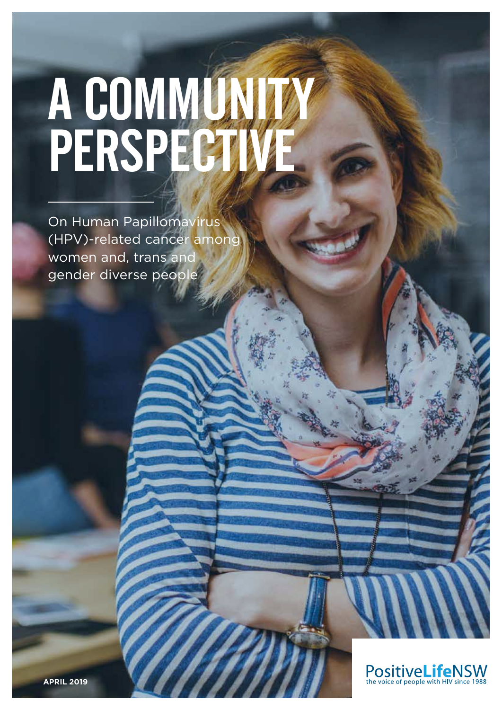# A COMMUNITY PERSPECTIVE

On Human Papillomavirus (HPV)-related cancer among women and, trans and gender diverse people

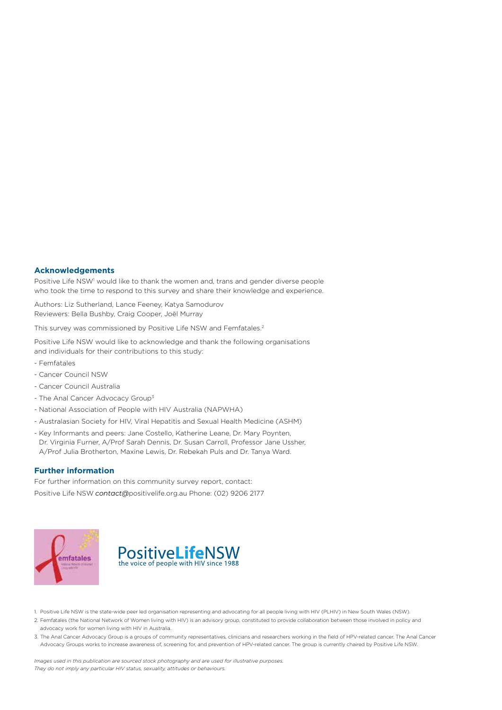#### **Acknowledgements**

Positive Life NSW<sup>1</sup> would like to thank the women and, trans and gender diverse people who took the time to respond to this survey and share their knowledge and experience.

Authors: Liz Sutherland, Lance Feeney, Katya Samodurov Reviewers: Bella Bushby, Craig Cooper, Joël Murray

This survey was commissioned by Positive Life NSW and Femfatales.2

Positive Life NSW would like to acknowledge and thank the following organisations and individuals for their contributions to this study:

- Femfatales
- Cancer Council NSW
- Cancer Council Australia
- The Anal Cancer Advocacy Group<sup>3</sup>
- National Association of People with HIV Australia (NAPWHA)
- Australasian Society for HIV, Viral Hepatitis and Sexual Health Medicine (ASHM)
- Key Informants and peers: Jane Costello, Katherine Leane, Dr. Mary Poynten, Dr. Virginia Furner, A/Prof Sarah Dennis, Dr. Susan Carroll, Professor Jane Ussher, A/Prof Julia Brotherton, Maxine Lewis, Dr. Rebekah Puls and Dr. Tanya Ward.

#### **Further information**

For further information on this community survey report, contact: Positive Life NSW *contact@*positivelife.org.au Phone: (02) 9206 2177





1. Positive Life NSW is the state-wide peer led organisation representing and advocating for all people living with HIV (PLHIV) in New South Wales (NSW).

- 2. Femfatales (the National Network of Women living with HIV) is an advisory group, constituted to provide collaboration between those involved in policy and advocacy work for women living with HIV in Australia.
- 3. The Anal Cancer Advocacy Group is a groups of community representatives, clinicians and researchers working in the field of HPV-related cancer. The Anal Cancer Advocacy Groups works to increase awareness of, screening for, and prevention of HPV-related cancer. The group is currently chaired by Positive Life NSW.

*Images used in this publication are sourced stock photography and are used for illustrative purposes. They do not imply any particular HIV status, sexuality, attitudes or behaviours.*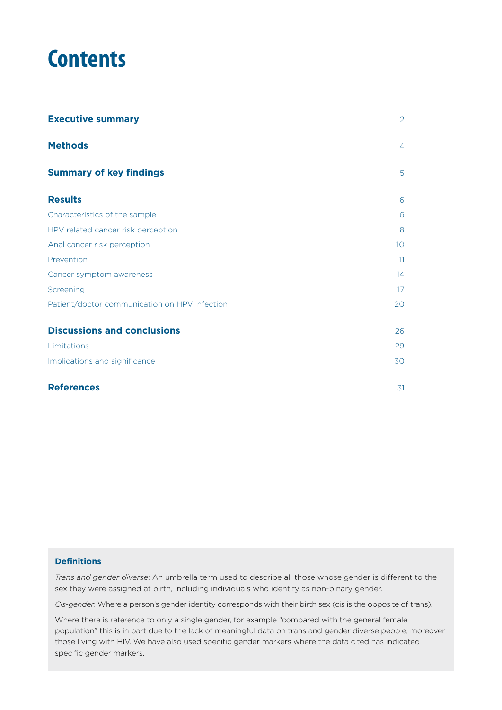# **Contents**

| <b>Executive summary</b>                      | $\overline{2}$ |
|-----------------------------------------------|----------------|
| <b>Methods</b>                                | $\overline{4}$ |
| <b>Summary of key findings</b>                | 5              |
| <b>Results</b>                                | 6              |
| Characteristics of the sample                 | 6              |
| HPV related cancer risk perception            | 8              |
| Anal cancer risk perception                   | 10             |
| Prevention                                    | 11             |
| Cancer symptom awareness                      | 14             |
| Screening                                     | 17             |
| Patient/doctor communication on HPV infection | 20             |
| <b>Discussions and conclusions</b>            | 26             |
| Limitations                                   | 29             |
| Implications and significance                 | 30             |
| <b>References</b>                             | 31             |

#### **Definitions**

*Trans and gender diverse*: An umbrella term used to describe all those whose gender is different to the sex they were assigned at birth, including individuals who identify as non-binary gender.

*Cis-gender*: Where a person's gender identity corresponds with their birth sex (cis is the opposite of trans).

Where there is reference to only a single gender, for example "compared with the general female population" this is in part due to the lack of meaningful data on trans and gender diverse people, moreover those living with HIV. We have also used specific gender markers where the data cited has indicated specific gender markers.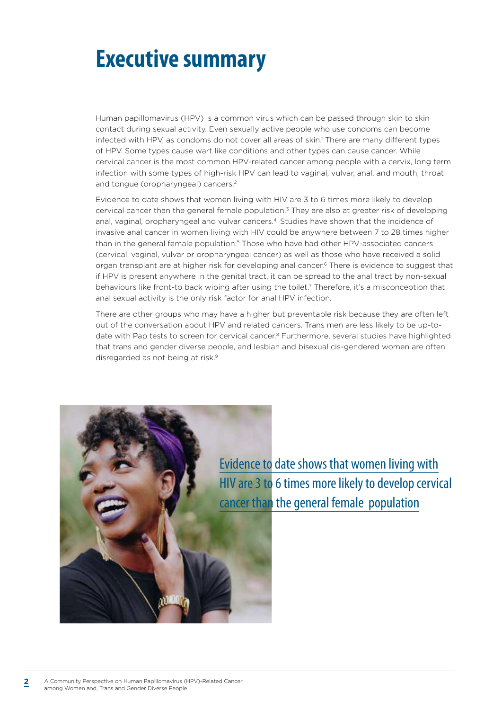# **Executive summary**

Human papillomavirus (HPV) is a common virus which can be passed through skin to skin contact during sexual activity. Even sexually active people who use condoms can become infected with HPV, as condoms do not cover all areas of skin.<sup>1</sup> There are many different types of HPV. Some types cause wart like conditions and other types can cause cancer. While cervical cancer is the most common HPV-related cancer among people with a cervix, long term infection with some types of high-risk HPV can lead to vaginal, vulvar, anal, and mouth, throat and tongue (oropharyngeal) cancers.<sup>2</sup>

Evidence to date shows that women living with HIV are 3 to 6 times more likely to develop cervical cancer than the general female population.3 They are also at greater risk of developing anal, vaginal, oropharyngeal and vulvar cancers.4 Studies have shown that the incidence of invasive anal cancer in women living with HIV could be anywhere between 7 to 28 times higher than in the general female population.<sup>5</sup> Those who have had other HPV-associated cancers (cervical, vaginal, vulvar or oropharyngeal cancer) as well as those who have received a solid organ transplant are at higher risk for developing anal cancer.6 There is evidence to suggest that if HPV is present anywhere in the genital tract, it can be spread to the anal tract by non-sexual behaviours like front-to back wiping after using the toilet.<sup>7</sup> Therefore, it's a misconception that anal sexual activity is the only risk factor for anal HPV infection.

There are other groups who may have a higher but preventable risk because they are often left out of the conversation about HPV and related cancers. Trans men are less likely to be up-todate with Pap tests to screen for cervical cancer.<sup>8</sup> Furthermore, several studies have highlighted that trans and gender diverse people, and lesbian and bisexual cis-gendered women are often disregarded as not being at risk.<sup>9</sup>

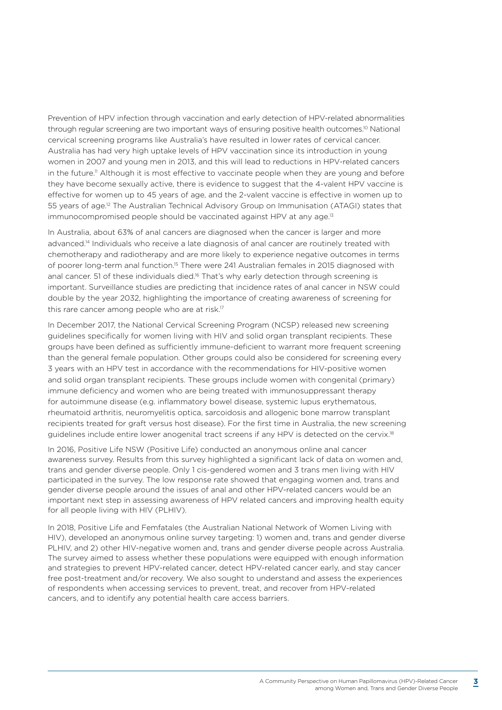Prevention of HPV infection through vaccination and early detection of HPV-related abnormalities through regular screening are two important ways of ensuring positive health outcomes.<sup>10</sup> National cervical screening programs like Australia's have resulted in lower rates of cervical cancer. Australia has had very high uptake levels of HPV vaccination since its introduction in young women in 2007 and young men in 2013, and this will lead to reductions in HPV-related cancers in the future.<sup>11</sup> Although it is most effective to vaccinate people when they are young and before they have become sexually active, there is evidence to suggest that the 4-valent HPV vaccine is effective for women up to 45 years of age, and the 2-valent vaccine is effective in women up to 55 years of age.12 The Australian Technical Advisory Group on Immunisation (ATAGI) states that immunocompromised people should be vaccinated against HPV at any age.<sup>13</sup>

In Australia, about 63% of anal cancers are diagnosed when the cancer is larger and more advanced.<sup>14</sup> Individuals who receive a late diagnosis of anal cancer are routinely treated with chemotherapy and radiotherapy and are more likely to experience negative outcomes in terms of poorer long-term anal function.<sup>15</sup> There were 241 Australian females in 2015 diagnosed with anal cancer. 51 of these individuals died.<sup>16</sup> That's why early detection through screening is important. Surveillance studies are predicting that incidence rates of anal cancer in NSW could double by the year 2032, highlighting the importance of creating awareness of screening for this rare cancer among people who are at risk.<sup>17</sup>

In December 2017, the National Cervical Screening Program (NCSP) released new screening guidelines specifically for women living with HIV and solid organ transplant recipients. These groups have been defined as sufficiently immune-deficient to warrant more frequent screening than the general female population. Other groups could also be considered for screening every 3 years with an HPV test in accordance with the recommendations for HIV-positive women and solid organ transplant recipients. These groups include women with congenital (primary) immune deficiency and women who are being treated with immunosuppressant therapy for autoimmune disease (e.g. inflammatory bowel disease, systemic lupus erythematous, rheumatoid arthritis, neuromyelitis optica, sarcoidosis and allogenic bone marrow transplant recipients treated for graft versus host disease). For the first time in Australia, the new screening guidelines include entire lower anogenital tract screens if any HPV is detected on the cervix.<sup>18</sup>

In 2016, Positive Life NSW (Positive Life) conducted an anonymous online anal cancer awareness survey. Results from this survey highlighted a significant lack of data on women and, trans and gender diverse people. Only 1 cis-gendered women and 3 trans men living with HIV participated in the survey. The low response rate showed that engaging women and, trans and gender diverse people around the issues of anal and other HPV-related cancers would be an important next step in assessing awareness of HPV related cancers and improving health equity for all people living with HIV (PLHIV).

In 2018, Positive Life and Femfatales (the Australian National Network of Women Living with HIV), developed an anonymous online survey targeting: 1) women and, trans and gender diverse PLHIV, and 2) other HIV-negative women and, trans and gender diverse people across Australia. The survey aimed to assess whether these populations were equipped with enough information and strategies to prevent HPV-related cancer, detect HPV-related cancer early, and stay cancer free post-treatment and/or recovery. We also sought to understand and assess the experiences of respondents when accessing services to prevent, treat, and recover from HPV-related cancers, and to identify any potential health care access barriers.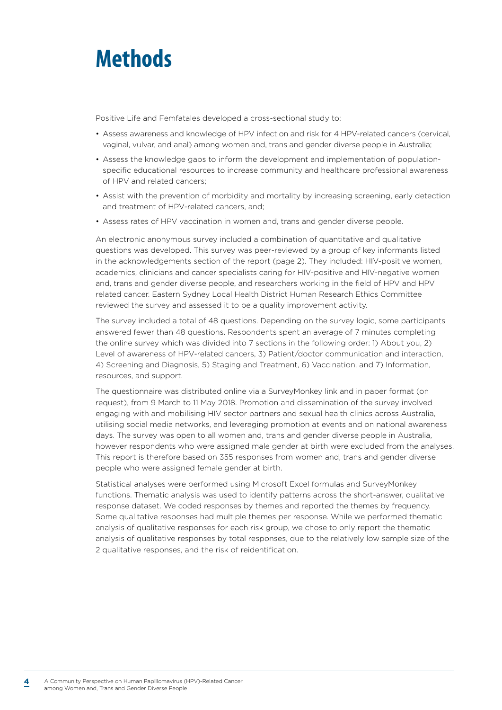# **Methods**

Positive Life and Femfatales developed a cross-sectional study to:

- Assess awareness and knowledge of HPV infection and risk for 4 HPV-related cancers (cervical, vaginal, vulvar, and anal) among women and, trans and gender diverse people in Australia;
- Assess the knowledge gaps to inform the development and implementation of populationspecific educational resources to increase community and healthcare professional awareness of HPV and related cancers;
- Assist with the prevention of morbidity and mortality by increasing screening, early detection and treatment of HPV-related cancers, and;
- Assess rates of HPV vaccination in women and, trans and gender diverse people.

An electronic anonymous survey included a combination of quantitative and qualitative questions was developed. This survey was peer-reviewed by a group of key informants listed in the acknowledgements section of the report (page 2). They included: HIV-positive women, academics, clinicians and cancer specialists caring for HIV-positive and HIV-negative women and, trans and gender diverse people, and researchers working in the field of HPV and HPV related cancer. Eastern Sydney Local Health District Human Research Ethics Committee reviewed the survey and assessed it to be a quality improvement activity.

The survey included a total of 48 questions. Depending on the survey logic, some participants answered fewer than 48 questions. Respondents spent an average of 7 minutes completing the online survey which was divided into 7 sections in the following order: 1) About you, 2) Level of awareness of HPV-related cancers, 3) Patient/doctor communication and interaction, 4) Screening and Diagnosis, 5) Staging and Treatment, 6) Vaccination, and 7) Information, resources, and support.

The questionnaire was distributed online via a SurveyMonkey link and in paper format (on request), from 9 March to 11 May 2018. Promotion and dissemination of the survey involved engaging with and mobilising HIV sector partners and sexual health clinics across Australia, utilising social media networks, and leveraging promotion at events and on national awareness days. The survey was open to all women and, trans and gender diverse people in Australia, however respondents who were assigned male gender at birth were excluded from the analyses. This report is therefore based on 355 responses from women and, trans and gender diverse people who were assigned female gender at birth.

Statistical analyses were performed using Microsoft Excel formulas and SurveyMonkey functions. Thematic analysis was used to identify patterns across the short-answer, qualitative response dataset. We coded responses by themes and reported the themes by frequency. Some qualitative responses had multiple themes per response. While we performed thematic analysis of qualitative responses for each risk group, we chose to only report the thematic analysis of qualitative responses by total responses, due to the relatively low sample size of the 2 qualitative responses, and the risk of reidentification.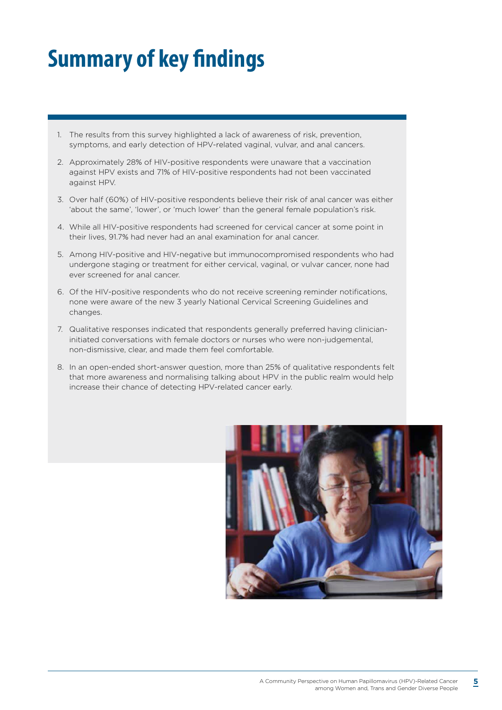# **Summary of key findings**

- 1. The results from this survey highlighted a lack of awareness of risk, prevention, symptoms, and early detection of HPV-related vaginal, vulvar, and anal cancers.
- 2. Approximately 28% of HIV-positive respondents were unaware that a vaccination against HPV exists and 71% of HIV-positive respondents had not been vaccinated against HPV.
- 3. Over half (60%) of HIV-positive respondents believe their risk of anal cancer was either 'about the same', 'lower', or 'much lower' than the general female population's risk.
- 4. While all HIV-positive respondents had screened for cervical cancer at some point in their lives, 91.7% had never had an anal examination for anal cancer.
- 5. Among HIV-positive and HIV-negative but immunocompromised respondents who had undergone staging or treatment for either cervical, vaginal, or vulvar cancer, none had ever screened for anal cancer.
- 6. Of the HIV-positive respondents who do not receive screening reminder notifications, none were aware of the new 3 yearly National Cervical Screening Guidelines and changes.
- 7. Qualitative responses indicated that respondents generally preferred having clinicianinitiated conversations with female doctors or nurses who were non-judgemental, non-dismissive, clear, and made them feel comfortable.
- 8. In an open-ended short-answer question, more than 25% of qualitative respondents felt that more awareness and normalising talking about HPV in the public realm would help increase their chance of detecting HPV-related cancer early.

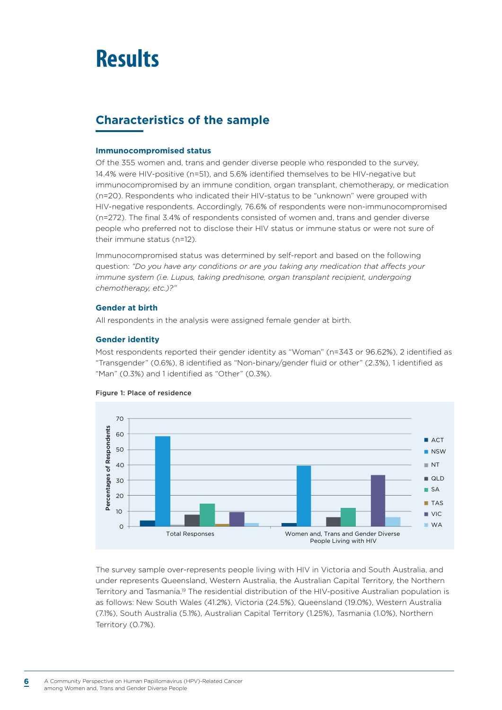# **Results**

## **Characteristics of the sample**

#### **Immunocompromised status**

Of the 355 women and, trans and gender diverse people who responded to the survey, 14.4% were HIV-positive (n=51), and 5.6% identified themselves to be HIV-negative but immunocompromised by an immune condition, organ transplant, chemotherapy, or medication (n=20). Respondents who indicated their HIV-status to be "unknown" were grouped with HIV-negative respondents. Accordingly, 76.6% of respondents were non-immunocompromised (n=272). The final 3.4% of respondents consisted of women and, trans and gender diverse people who preferred not to disclose their HIV status or immune status or were not sure of their immune status (n=12).

Immunocompromised status was determined by self-report and based on the following question: *"Do you have any conditions or are you taking any medication that affects your immune system (i.e. Lupus, taking prednisone, organ transplant recipient, undergoing chemotherapy, etc.)?"*

#### **Gender at birth**

All respondents in the analysis were assigned female gender at birth.

#### **Gender identity**

Most respondents reported their gender identity as "Woman" (n=343 or 96.62%), 2 identified as "Transgender" (0.6%), 8 identified as "Non-binary/gender fluid or other" (2.3%), 1 identified as "Man" (0.3%) and 1 identified as "Other" (0.3%).



#### Figure 1: Place of residence

The survey sample over-represents people living with HIV in Victoria and South Australia, and under represents Queensland, Western Australia, the Australian Capital Territory, the Northern Territory and Tasmania.<sup>19</sup> The residential distribution of the HIV-positive Australian population is as follows: New South Wales (41.2%), Victoria (24.5%), Queensland (19.0%), Western Australia (7.1%), South Australia (5.1%), Australian Capital Territory (1.25%), Tasmania (1.0%), Northern Territory (0.7%).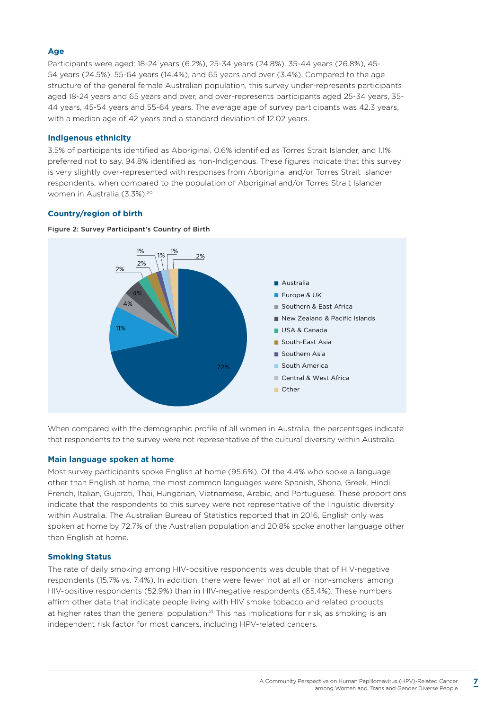#### **Age**

Participants were aged: 18-24 years (6.2%), 25-34 years (24.8%), 35-44 years (26.8%), 45- 54 years (24.5%), 55-64 years (14.4%), and 65 years and over (3.4%). Compared to the age structure of the general female Australian population, this survey under-represents participants aged 18-24 years and 65 years and over, and over-represents participants aged 25-34 years, 35- 44 years, 45-54 years and 55-64 years. The average age of survey participants was 42.3 years, with a median age of 42 years and a standard deviation of 12.02 years.

#### **Indigenous ethnicity**

3.5% of participants identified as Aboriginal, 0.6% identified as Torres Strait Islander, and 1.1% preferred not to say. 94.8% identified as non-Indigenous. These figures indicate that this survey is very slightly over-represented with responses from Aboriginal and/or Torres Strait Islander respondents, when compared to the population of Aboriginal and/or Torres Strait Islander women in Australia (3.3%).20

#### **Country/region of birth**



#### Figure 2: Survey Participant's Country of Birth

When compared with the demographic profile of all women in Australia, the percentages indicate that respondents to the survey were not representative of the cultural diversity within Australia.

#### **Main language spoken at home**

Most survey participants spoke English at home (95.6%). Of the 4.4% who spoke a language other than English at home, the most common languages were Spanish, Shona, Greek, Hindi, French, Italian, Gujarati, Thai, Hungarian, Vietnamese, Arabic, and Portuguese. These proportions indicate that the respondents to this survey were not representative of the linguistic diversity within Australia. The Australian Bureau of Statistics reported that in 2016, English only was spoken at home by 72.7% of the Australian population and 20.8% spoke another language other than English at home.

#### **Smoking Status**

The rate of daily smoking among HIV-positive respondents was double that of HIV-negative respondents (15.7% vs. 7.4%). In addition, there were fewer 'not at all or 'non-smokers' among HIV-positive respondents (52.9%) than in HIV-negative respondents (65.4%). These numbers affirm other data that indicate people living with HIV smoke tobacco and related products at higher rates than the general population.<sup>21</sup> This has implications for risk, as smoking is an independent risk factor for most cancers, including HPV-related cancers.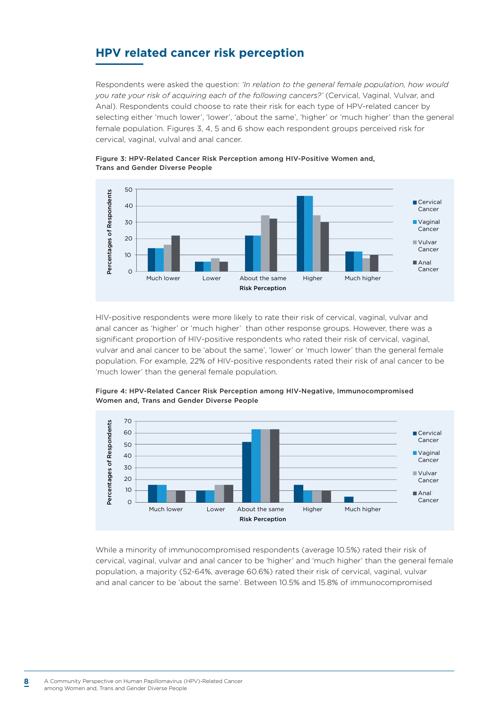### **HPV related cancer risk perception**

Respondents were asked the question: *'In relation to the general female population, how would you rate your risk of acquiring each of the following cancers?'* (Cervical, Vaginal, Vulvar, and Anal). Respondents could choose to rate their risk for each type of HPV-related cancer by selecting either 'much lower', 'lower', 'about the same', 'higher' or 'much higher' than the general female population. Figures 3, 4, 5 and 6 show each respondent groups perceived risk for cervical, vaginal, vulval and anal cancer.



Figure 3: HPV-Related Cancer Risk Perception among HIV-Positive Women and, Trans and Gender Diverse People

HIV-positive respondents were more likely to rate their risk of cervical, vaginal, vulvar and anal cancer as 'higher' or 'much higher' than other response groups. However, there was a significant proportion of HIV-positive respondents who rated their risk of cervical, vaginal, vulvar and anal cancer to be 'about the same', 'lower' or 'much lower' than the general female population. For example, 22% of HIV-positive respondents rated their risk of anal cancer to be 'much lower' than the general female population.



Figure 4: HPV-Related Cancer Risk Perception among HIV-Negative, Immunocompromised Women and, Trans and Gender Diverse People

While a minority of immunocompromised respondents (average 10.5%) rated their risk of cervical, vaginal, vulvar and anal cancer to be 'higher' and 'much higher' than the general female population, a majority (52-64%, average 60.6%) rated their risk of cervical, vaginal, vulvar and anal cancer to be 'about the same'. Between 10.5% and 15.8% of immunocompromised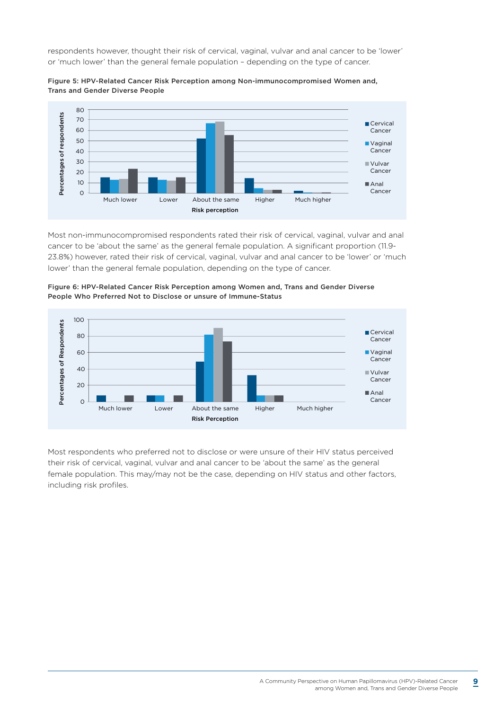respondents however, thought their risk of cervical, vaginal, vulvar and anal cancer to be 'lower' or 'much lower' than the general female population – depending on the type of cancer.



Figure 5: HPV-Related Cancer Risk Perception among Non-immunocompromised Women and, Trans and Gender Diverse People

Most non-immunocompromised respondents rated their risk of cervical, vaginal, vulvar and anal cancer to be 'about the same' as the general female population. A significant proportion (11.9- 23.8%) however, rated their risk of cervical, vaginal, vulvar and anal cancer to be 'lower' or 'much lower' than the general female population, depending on the type of cancer.





Most respondents who preferred not to disclose or were unsure of their HIV status perceived their risk of cervical, vaginal, vulvar and anal cancer to be 'about the same' as the general female population. This may/may not be the case, depending on HIV status and other factors, including risk profiles.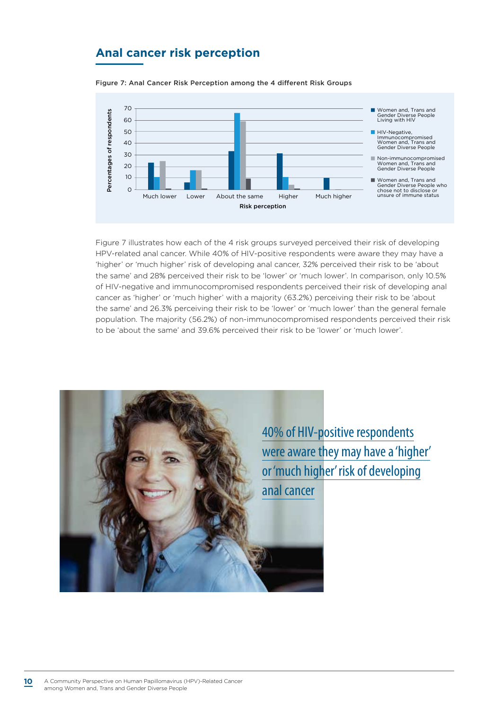### **Anal cancer risk perception**

Figure 7: Anal Cancer Risk Perception among the 4 different Risk Groups



Figure 7 illustrates how each of the 4 risk groups surveyed perceived their risk of developing HPV-related anal cancer. While 40% of HIV-positive respondents were aware they may have a 'higher' or 'much higher' risk of developing anal cancer, 32% perceived their risk to be 'about the same' and 28% perceived their risk to be 'lower' or 'much lower'. In comparison, only 10.5% of HIV-negative and immunocompromised respondents perceived their risk of developing anal cancer as 'higher' or 'much higher' with a majority (63.2%) perceiving their risk to be 'about the same' and 26.3% perceiving their risk to be 'lower' or 'much lower' than the general female population. The majority (56.2%) of non-immunocompromised respondents perceived their risk to be 'about the same' and 39.6% perceived their risk to be 'lower' or 'much lower'.

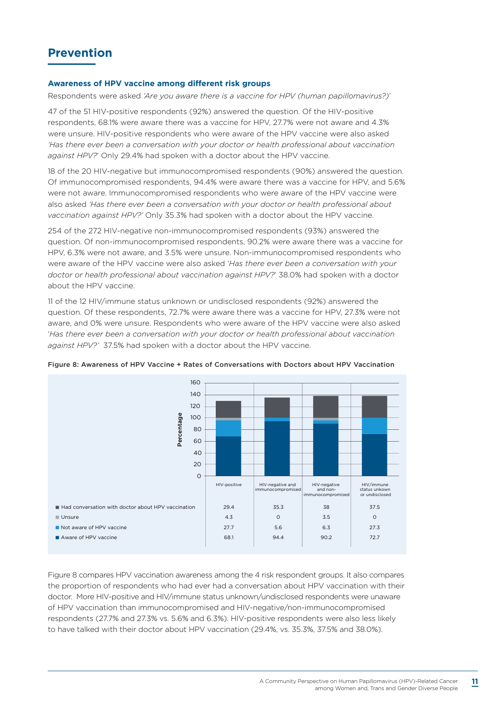#### **Awareness of HPV vaccine among different risk groups**

Respondents were asked *'Are you aware there is a vaccine for HPV (human papillomavirus?)*'

47 of the 51 HIV-positive respondents (92%) answered the question. Of the HIV-positive respondents, 68.1% were aware there was a vaccine for HPV, 27.7% were not aware and 4.3% were unsure. HIV-positive respondents who were aware of the HPV vaccine were also asked *'Has there ever been a conversation with your doctor or health professional about vaccination against HPV?*' Only 29.4% had spoken with a doctor about the HPV vaccine.

18 of the 20 HIV-negative but immunocompromised respondents (90%) answered the question. Of immunocompromised respondents, 94.4% were aware there was a vaccine for HPV, and 5.6% were not aware. Immunocompromised respondents who were aware of the HPV vaccine were also asked *'Has there ever been a conversation with your doctor or health professional about vaccination against HPV?'* Only 35.3% had spoken with a doctor about the HPV vaccine.

254 of the 272 HIV-negative non-immunocompromised respondents (93%) answered the question. Of non-immunocompromised respondents, 90.2% were aware there was a vaccine for HPV, 6.3% were not aware, and 3.5% were unsure. Non-immunocompromised respondents who were aware of the HPV vaccine were also asked '*Has there ever been a conversation with your doctor or health professional about vaccination against HPV?*' 38.0% had spoken with a doctor about the HPV vaccine.

11 of the 12 HIV/immune status unknown or undisclosed respondents (92%) answered the question. Of these respondents, 72.7% were aware there was a vaccine for HPV, 27.3% were not aware, and 0% were unsure. Respondents who were aware of the HPV vaccine were also asked '*Has there ever been a conversation with your doctor or health professional about vaccination against HPV?'* 37.5% had spoken with a doctor about the HPV vaccine.



Figure 8: Awareness of HPV Vaccine + Rates of Conversations with Doctors about HPV Vaccination

Figure 8 compares HPV vaccination awareness among the 4 risk respondent groups. It also compares the proportion of respondents who had ever had a conversation about HPV vaccination with their doctor. More HIV-positive and HIV/immune status unknown/undisclosed respondents were unaware of HPV vaccination than immunocompromised and HIV-negative/non-immunocompromised respondents (27.7% and 27.3% vs. 5.6% and 6.3%). HIV-positive respondents were also less likely to have talked with their doctor about HPV vaccination (29.4%, vs. 35.3%, 37.5% and 38.0%).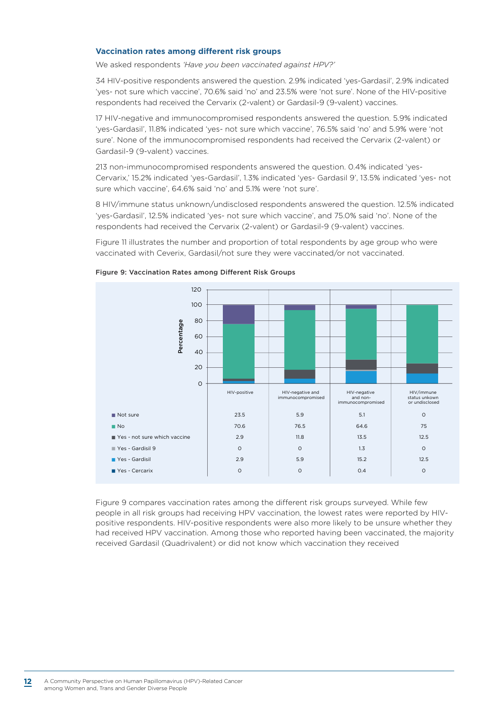#### **Vaccination rates among different risk groups**

We asked respondents *'Have you been vaccinated against HPV?'*

34 HIV-positive respondents answered the question. 2.9% indicated 'yes-Gardasil', 2.9% indicated 'yes- not sure which vaccine', 70.6% said 'no' and 23.5% were 'not sure'. None of the HIV-positive respondents had received the Cervarix (2-valent) or Gardasil-9 (9-valent) vaccines.

17 HIV-negative and immunocompromised respondents answered the question. 5.9% indicated 'yes-Gardasil', 11.8% indicated 'yes- not sure which vaccine', 76.5% said 'no' and 5.9% were 'not sure'. None of the immunocompromised respondents had received the Cervarix (2-valent) or Gardasil-9 (9-valent) vaccines.

213 non-immunocompromised respondents answered the question. 0.4% indicated 'yes-Cervarix,' 15.2% indicated 'yes-Gardasil', 1.3% indicated 'yes- Gardasil 9', 13.5% indicated 'yes- not sure which vaccine', 64.6% said 'no' and 5.1% were 'not sure'.

8 HIV/immune status unknown/undisclosed respondents answered the question. 12.5% indicated 'yes-Gardasil', 12.5% indicated 'yes- not sure which vaccine', and 75.0% said 'no'. None of the respondents had received the Cervarix (2-valent) or Gardasil-9 (9-valent) vaccines.

Figure 11 illustrates the number and proportion of total respondents by age group who were vaccinated with Ceverix, Gardasil/not sure they were vaccinated/or not vaccinated.





Figure 9 compares vaccination rates among the different risk groups surveyed. While few people in all risk groups had receiving HPV vaccination, the lowest rates were reported by HIVpositive respondents. HIV-positive respondents were also more likely to be unsure whether they had received HPV vaccination. Among those who reported having been vaccinated, the majority received Gardasil (Quadrivalent) or did not know which vaccination they received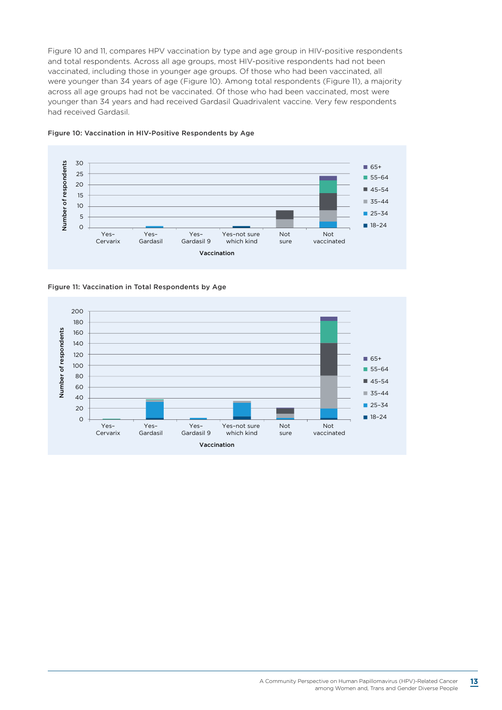Figure 10 and 11, compares HPV vaccination by type and age group in HIV-positive respondents and total respondents. Across all age groups, most HIV-positive respondents had not been vaccinated, including those in younger age groups. Of those who had been vaccinated, all were younger than 34 years of age (Figure 10). Among total respondents (Figure 11), a majority across all age groups had not be vaccinated. Of those who had been vaccinated, most were younger than 34 years and had received Gardasil Quadrivalent vaccine. Very few respondents had received Gardasil.



#### Figure 10: Vaccination in HIV-Positive Respondents by Age

Figure 11: Vaccination in Total Respondents by Age

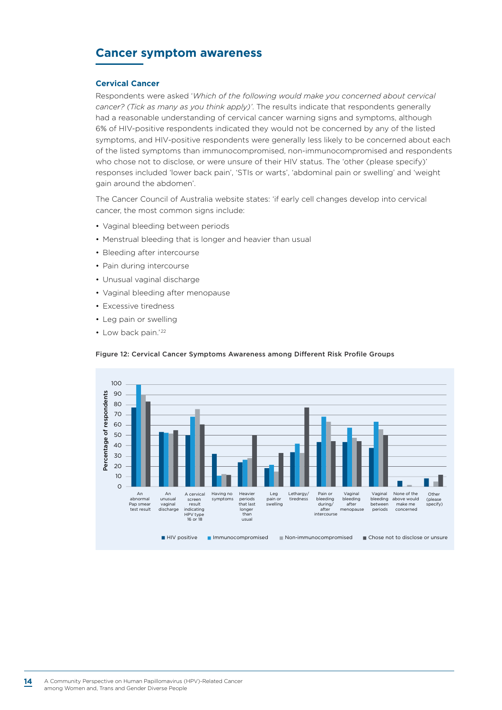### **Cancer symptom awareness**

#### **Cervical Cancer**

Respondents were asked '*Which of the following would make you concerned about cervical cancer? (Tick as many as you think apply)'*. The results indicate that respondents generally had a reasonable understanding of cervical cancer warning signs and symptoms, although 6% of HIV-positive respondents indicated they would not be concerned by any of the listed symptoms, and HIV-positive respondents were generally less likely to be concerned about each of the listed symptoms than immunocompromised, non-immunocompromised and respondents who chose not to disclose, or were unsure of their HIV status. The 'other (please specify)' responses included 'lower back pain', 'STIs or warts', 'abdominal pain or swelling' and 'weight gain around the abdomen'.

The Cancer Council of Australia website states: 'if early cell changes develop into cervical cancer, the most common signs include:

- Vaginal bleeding between periods
- Menstrual bleeding that is longer and heavier than usual
- Bleeding after intercourse
- Pain during intercourse
- Unusual vaginal discharge
- Vaginal bleeding after menopause
- Excessive tiredness
- Leg pain or swelling
- Low back pain.'22



#### Figure 12: Cervical Cancer Symptoms Awareness among Different Risk Profile Groups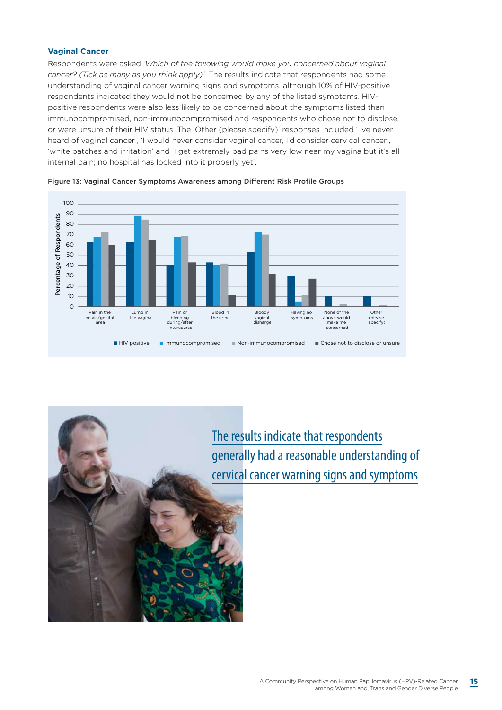#### **Vaginal Cancer**

Respondents were asked *'Which of the following would make you concerned about vaginal cancer? (Tick as many as you think apply)'.* The results indicate that respondents had some understanding of vaginal cancer warning signs and symptoms, although 10% of HIV-positive respondents indicated they would not be concerned by any of the listed symptoms. HIVpositive respondents were also less likely to be concerned about the symptoms listed than immunocompromised, non-immunocompromised and respondents who chose not to disclose, or were unsure of their HIV status. The 'Other (please specify)' responses included 'I've never heard of vaginal cancer', 'I would never consider vaginal cancer, I'd consider cervical cancer', 'white patches and irritation' and 'I get extremely bad pains very low near my vagina but it's all internal pain; no hospital has looked into it properly yet'.





The results indicate that respondents generally had a reasonable understanding of cervical cancer warning signs and symptoms

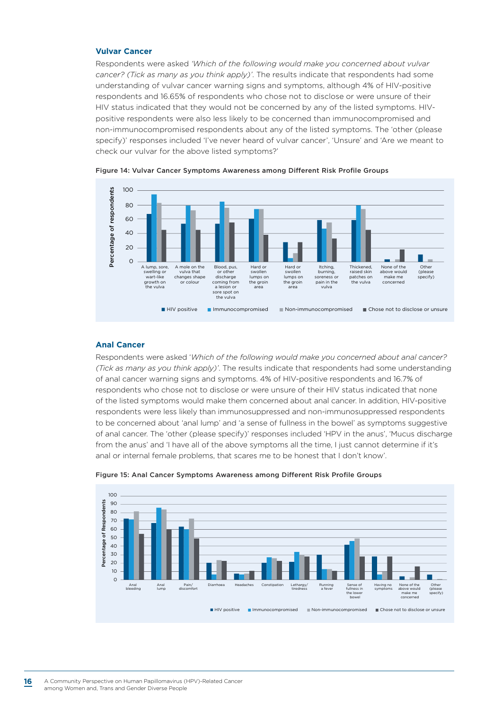#### **Vulvar Cancer**

Respondents were asked *'Which of the following would make you concerned about vulvar cancer? (Tick as many as you think apply)'*. The results indicate that respondents had some understanding of vulvar cancer warning signs and symptoms, although 4% of HIV-positive respondents and 16.65% of respondents who chose not to disclose or were unsure of their HIV status indicated that they would not be concerned by any of the listed symptoms. HIVpositive respondents were also less likely to be concerned than immunocompromised and non-immunocompromised respondents about any of the listed symptoms. The 'other (please specify)' responses included 'I've never heard of vulvar cancer', 'Unsure' and 'Are we meant to check our vulvar for the above listed symptoms?'



Figure 14: Vulvar Cancer Symptoms Awareness among Different Risk Profile Groups

#### **Anal Cancer**

Respondents were asked '*Which of the following would make you concerned about anal cancer? (Tick as many as you think apply)'*. The results indicate that respondents had some understanding of anal cancer warning signs and symptoms. 4% of HIV-positive respondents and 16.7% of respondents who chose not to disclose or were unsure of their HIV status indicated that none of the listed symptoms would make them concerned about anal cancer. In addition, HIV-positive respondents were less likely than immunosuppressed and non-immunosuppressed respondents to be concerned about 'anal lump' and 'a sense of fullness in the bowel' as symptoms suggestive of anal cancer. The 'other (please specify)' responses included 'HPV in the anus', 'Mucus discharge from the anus' and 'I have all of the above symptoms all the time, I just cannot determine if it's anal or internal female problems, that scares me to be honest that I don't know'.



Figure 15: Anal Cancer Symptoms Awareness among Different Risk Profile Groups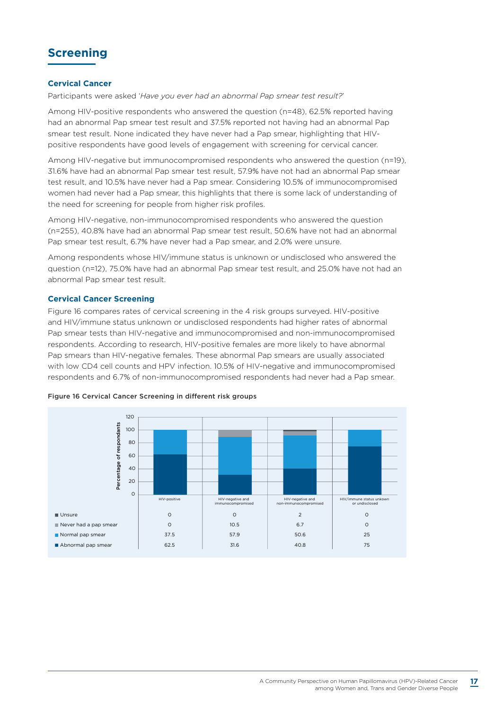### **Screening**

#### **Cervical Cancer**

Participants were asked '*Have you ever had an abnormal Pap smear test result?*'

Among HIV-positive respondents who answered the question (n=48), 62.5% reported having had an abnormal Pap smear test result and 37.5% reported not having had an abnormal Pap smear test result. None indicated they have never had a Pap smear, highlighting that HIVpositive respondents have good levels of engagement with screening for cervical cancer.

Among HIV-negative but immunocompromised respondents who answered the question (n=19), 31.6% have had an abnormal Pap smear test result, 57.9% have not had an abnormal Pap smear test result, and 10.5% have never had a Pap smear. Considering 10.5% of immunocompromised women had never had a Pap smear, this highlights that there is some lack of understanding of the need for screening for people from higher risk profiles.

Among HIV-negative, non-immunocompromised respondents who answered the question (n=255), 40.8% have had an abnormal Pap smear test result, 50.6% have not had an abnormal Pap smear test result, 6.7% have never had a Pap smear, and 2.0% were unsure.

Among respondents whose HIV/immune status is unknown or undisclosed who answered the question (n=12), 75.0% have had an abnormal Pap smear test result, and 25.0% have not had an abnormal Pap smear test result.

#### **Cervical Cancer Screening**

Figure 16 compares rates of cervical screening in the 4 risk groups surveyed. HIV-positive and HIV/immune status unknown or undisclosed respondents had higher rates of abnormal Pap smear tests than HIV-negative and immunocompromised and non-immunocompromised respondents. According to research, HIV-positive females are more likely to have abnormal Pap smears than HIV-negative females. These abnormal Pap smears are usually associated with low CD4 cell counts and HPV infection. 10.5% of HIV-negative and immunocompromised respondents and 6.7% of non-immunocompromised respondents had never had a Pap smear.



#### Figure 16 Cervical Cancer Screening in different risk groups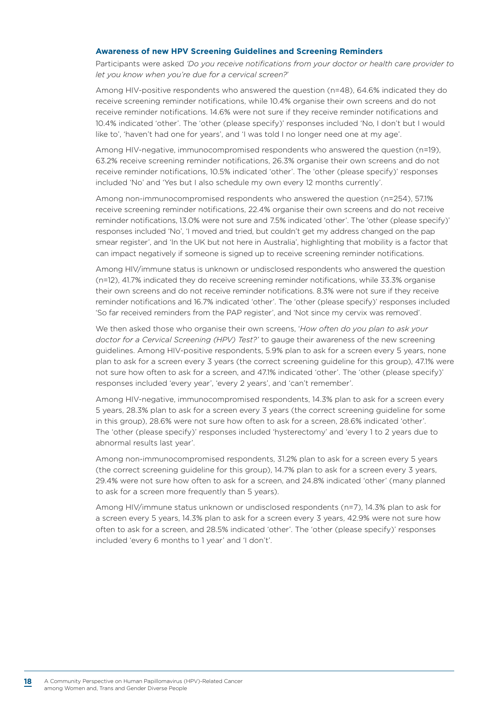#### **Awareness of new HPV Screening Guidelines and Screening Reminders**

Participants were asked *'Do you receive notifications from your doctor or health care provider to let you know when you're due for a cervical screen?*'

Among HIV-positive respondents who answered the question (n=48), 64.6% indicated they do receive screening reminder notifications, while 10.4% organise their own screens and do not receive reminder notifications. 14.6% were not sure if they receive reminder notifications and 10.4% indicated 'other'. The 'other (please specify)' responses included 'No, I don't but I would like to', 'haven't had one for years', and 'I was told I no longer need one at my age'.

Among HIV-negative, immunocompromised respondents who answered the question (n=19), 63.2% receive screening reminder notifications, 26.3% organise their own screens and do not receive reminder notifications, 10.5% indicated 'other'. The 'other (please specify)' responses included 'No' and 'Yes but I also schedule my own every 12 months currently'.

Among non-immunocompromised respondents who answered the question (n=254), 57.1% receive screening reminder notifications, 22.4% organise their own screens and do not receive reminder notifications, 13.0% were not sure and 7.5% indicated 'other'. The 'other (please specify)' responses included 'No', 'I moved and tried, but couldn't get my address changed on the pap smear register', and 'In the UK but not here in Australia', highlighting that mobility is a factor that can impact negatively if someone is signed up to receive screening reminder notifications.

Among HIV/immune status is unknown or undisclosed respondents who answered the question (n=12), 41.7% indicated they do receive screening reminder notifications, while 33.3% organise their own screens and do not receive reminder notifications. 8.3% were not sure if they receive reminder notifications and 16.7% indicated 'other'. The 'other (please specify)' responses included 'So far received reminders from the PAP register', and 'Not since my cervix was removed'.

We then asked those who organise their own screens, '*How often do you plan to ask your doctor for a Cervical Screening (HPV) Test?'* to gauge their awareness of the new screening guidelines. Among HIV-positive respondents, 5.9% plan to ask for a screen every 5 years, none plan to ask for a screen every 3 years (the correct screening guideline for this group), 47.1% were not sure how often to ask for a screen, and 47.1% indicated 'other'. The 'other (please specify)' responses included 'every year', 'every 2 years', and 'can't remember'.

Among HIV-negative, immunocompromised respondents, 14.3% plan to ask for a screen every 5 years, 28.3% plan to ask for a screen every 3 years (the correct screening guideline for some in this group), 28.6% were not sure how often to ask for a screen, 28.6% indicated 'other'. The 'other (please specify)' responses included 'hysterectomy' and 'every 1 to 2 years due to abnormal results last year'.

Among non-immunocompromised respondents, 31.2% plan to ask for a screen every 5 years (the correct screening guideline for this group), 14.7% plan to ask for a screen every 3 years, 29.4% were not sure how often to ask for a screen, and 24.8% indicated 'other' (many planned to ask for a screen more frequently than 5 years).

Among HIV/immune status unknown or undisclosed respondents (n=7), 14.3% plan to ask for a screen every 5 years, 14.3% plan to ask for a screen every 3 years, 42.9% were not sure how often to ask for a screen, and 28.5% indicated 'other'. The 'other (please specify)' responses included 'every 6 months to 1 year' and 'I don't'.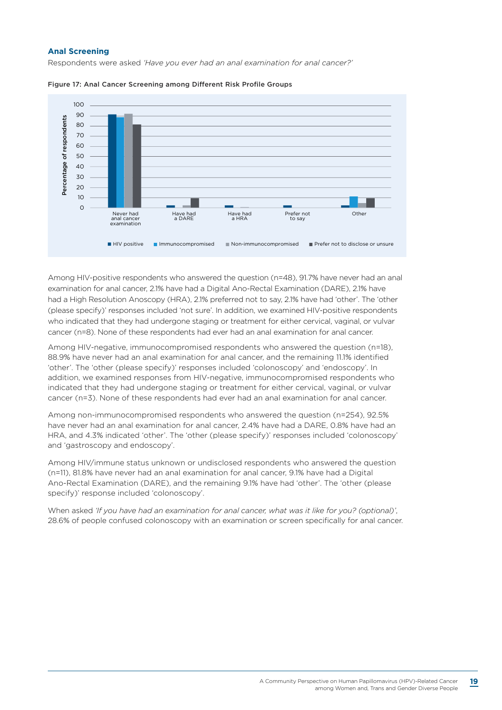#### **Anal Screening**

Respondents were asked *'Have you ever had an anal examination for anal cancer?'*



Figure 17: Anal Cancer Screening among Different Risk Profile Groups

Among HIV-positive respondents who answered the question (n=48), 91.7% have never had an anal examination for anal cancer, 2.1% have had a Digital Ano-Rectal Examination (DARE), 2.1% have had a High Resolution Anoscopy (HRA), 2.1% preferred not to say, 2.1% have had 'other'. The 'other (please specify)' responses included 'not sure'. In addition, we examined HIV-positive respondents who indicated that they had undergone staging or treatment for either cervical, vaginal, or vulvar cancer (n=8). None of these respondents had ever had an anal examination for anal cancer.

Among HIV-negative, immunocompromised respondents who answered the question (n=18), 88.9% have never had an anal examination for anal cancer, and the remaining 11.1% identified 'other'. The 'other (please specify)' responses included 'colonoscopy' and 'endoscopy'. In addition, we examined responses from HIV-negative, immunocompromised respondents who indicated that they had undergone staging or treatment for either cervical, vaginal, or vulvar cancer (n=3). None of these respondents had ever had an anal examination for anal cancer.

Among non-immunocompromised respondents who answered the question (n=254), 92.5% have never had an anal examination for anal cancer, 2.4% have had a DARE, 0.8% have had an HRA, and 4.3% indicated 'other'. The 'other (please specify)' responses included 'colonoscopy' and 'gastroscopy and endoscopy'.

Among HIV/immune status unknown or undisclosed respondents who answered the question (n=11), 81.8% have never had an anal examination for anal cancer, 9.1% have had a Digital Ano-Rectal Examination (DARE), and the remaining 9.1% have had 'other'. The 'other (please specify)' response included 'colonoscopy'.

When asked *'If you have had an examination for anal cancer, what was it like for you? (optional)'*, 28.6% of people confused colonoscopy with an examination or screen specifically for anal cancer.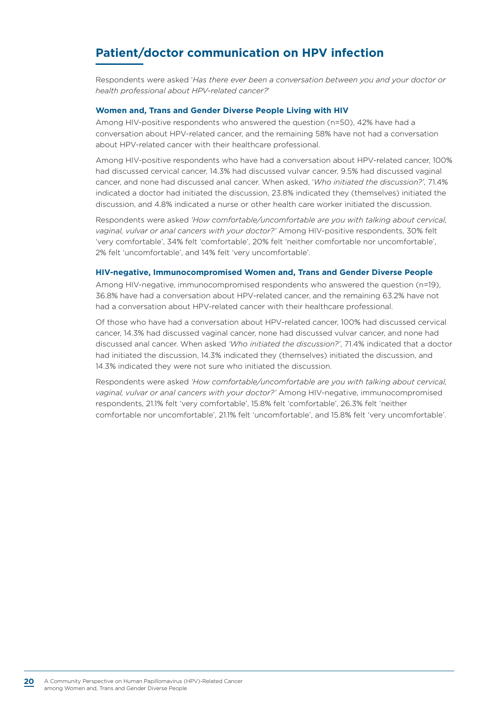### **Patient/doctor communication on HPV infection**

Respondents were asked '*Has there ever been a conversation between you and your doctor or health professional about HPV-related cancer?*'

#### **Women and, Trans and Gender Diverse People Living with HIV**

Among HIV-positive respondents who answered the question (n=50), 42% have had a conversation about HPV-related cancer, and the remaining 58% have not had a conversation about HPV-related cancer with their healthcare professional.

Among HIV-positive respondents who have had a conversation about HPV-related cancer, 100% had discussed cervical cancer, 14.3% had discussed vulvar cancer, 9.5% had discussed vaginal cancer, and none had discussed anal cancer. When asked, '*Who initiated the discussion?'*, 71.4% indicated a doctor had initiated the discussion, 23.8% indicated they (themselves) initiated the discussion, and 4.8% indicated a nurse or other health care worker initiated the discussion.

Respondents were asked *'How comfortable/uncomfortable are you with talking about cervical, vaginal, vulvar or anal cancers with your doctor?'* Among HIV-positive respondents, 30% felt 'very comfortable', 34% felt 'comfortable', 20% felt 'neither comfortable nor uncomfortable', 2% felt 'uncomfortable', and 14% felt 'very uncomfortable'.

#### **HIV-negative, Immunocompromised Women and, Trans and Gender Diverse People**

Among HIV-negative, immunocompromised respondents who answered the question (n=19), 36.8% have had a conversation about HPV-related cancer, and the remaining 63.2% have not had a conversation about HPV-related cancer with their healthcare professional.

Of those who have had a conversation about HPV-related cancer, 100% had discussed cervical cancer, 14.3% had discussed vaginal cancer, none had discussed vulvar cancer, and none had discussed anal cancer. When asked *'Who initiated the discussion?'*, 71.4% indicated that a doctor had initiated the discussion, 14.3% indicated they (themselves) initiated the discussion, and 14.3% indicated they were not sure who initiated the discussion.

Respondents were asked *'How comfortable/uncomfortable are you with talking about cervical, vaginal, vulvar or anal cancers with your doctor?'* Among HIV-negative, immunocompromised respondents, 21.1% felt 'very comfortable', 15.8% felt 'comfortable', 26.3% felt 'neither comfortable nor uncomfortable', 21.1% felt 'uncomfortable', and 15.8% felt 'very uncomfortable'.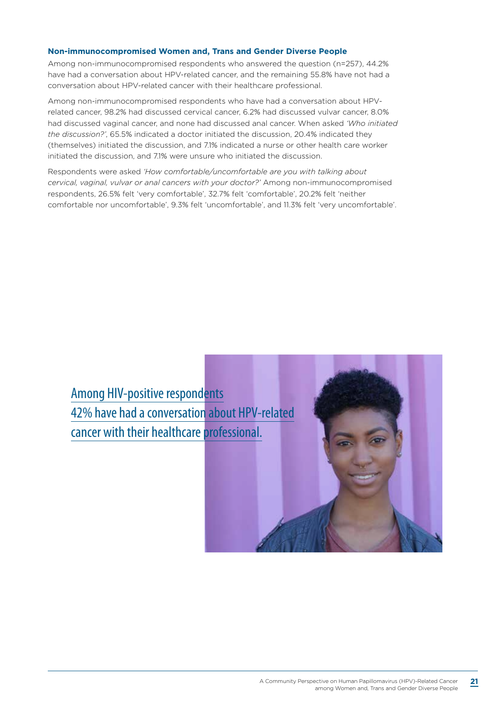#### **Non-immunocompromised Women and, Trans and Gender Diverse People**

Among non-immunocompromised respondents who answered the question (n=257), 44.2% have had a conversation about HPV-related cancer, and the remaining 55.8% have not had a conversation about HPV-related cancer with their healthcare professional.

Among non-immunocompromised respondents who have had a conversation about HPVrelated cancer, 98.2% had discussed cervical cancer, 6.2% had discussed vulvar cancer, 8.0% had discussed vaginal cancer, and none had discussed anal cancer. When asked *'Who initiated the discussion?'*, 65.5% indicated a doctor initiated the discussion, 20.4% indicated they (themselves) initiated the discussion, and 7.1% indicated a nurse or other health care worker initiated the discussion, and 7.1% were unsure who initiated the discussion.

Respondents were asked *'How comfortable/uncomfortable are you with talking about cervical, vaginal, vulvar or anal cancers with your doctor?'* Among non-immunocompromised respondents, 26.5% felt 'very comfortable', 32.7% felt 'comfortable', 20.2% felt 'neither comfortable nor uncomfortable', 9.3% felt 'uncomfortable', and 11.3% felt 'very uncomfortable'.

Among HIV-positive respondents 42% have had a conversation about HPV-related cancer with their healthcare professional.

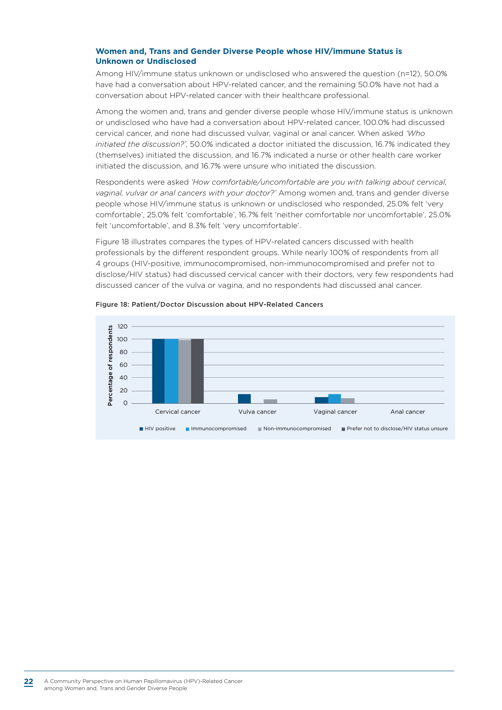#### **Women and, Trans and Gender Diverse People whose HIV/immune Status is Unknown or Undisclosed**

Among HIV/immune status unknown or undisclosed who answered the question (n=12), 50.0% have had a conversation about HPV-related cancer, and the remaining 50.0% have not had a conversation about HPV-related cancer with their healthcare professional.

Among the women and, trans and gender diverse people whose HIV/immune status is unknown or undisclosed who have had a conversation about HPV-related cancer, 100.0% had discussed cervical cancer, and none had discussed vulvar, vaginal or anal cancer. When asked *'Who initiated the discussion?'*, 50.0% indicated a doctor initiated the discussion, 16.7% indicated they (themselves) initiated the discussion, and 16.7% indicated a nurse or other health care worker initiated the discussion, and 16.7% were unsure who initiated the discussion.

Respondents were asked *'How comfortable/uncomfortable are you with talking about cervical, vaginal, vulvar or anal cancers with your doctor?'* Among women and, trans and gender diverse people whose HIV/immune status is unknown or undisclosed who responded, 25.0% felt 'very comfortable', 25.0% felt 'comfortable', 16.7% felt 'neither comfortable nor uncomfortable', 25.0% felt 'uncomfortable', and 8.3% felt 'very uncomfortable'.

Figure 18 illustrates compares the types of HPV-related cancers discussed with health professionals by the different respondent groups. While nearly 100% of respondents from all 4 groups (HIV-positive, immunocompromised, non-immunocompromised and prefer not to disclose/HIV status) had discussed cervical cancer with their doctors, very few respondents had discussed cancer of the vulva or vagina, and no respondents had discussed anal cancer.



#### Figure 18: Patient/Doctor Discussion about HPV-Related Cancers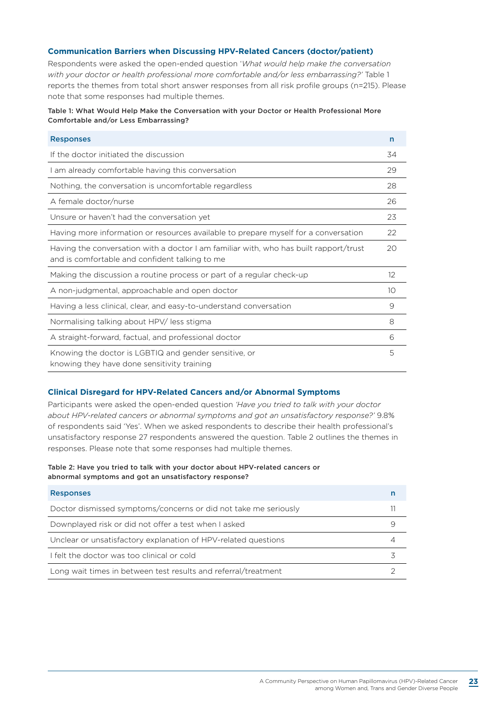#### **Communication Barriers when Discussing HPV-Related Cancers (doctor/patient)**

Respondents were asked the open-ended question '*What would help make the conversation with your doctor or health professional more comfortable and/or less embarrassing?'* [Table 1](#page-24-0)  reports the themes from total short answer responses from all risk profile groups (n=215). Please note that some responses had multiple themes.

#### <span id="page-24-0"></span>Table 1: What Would Help Make the Conversation with your Doctor or Health Professional More Comfortable and/or Less Embarrassing?

| <b>Responses</b>                                                                                                                        | n  |
|-----------------------------------------------------------------------------------------------------------------------------------------|----|
| If the doctor initiated the discussion                                                                                                  | 34 |
| I am already comfortable having this conversation                                                                                       | 29 |
| Nothing, the conversation is uncomfortable regardless                                                                                   | 28 |
| A female doctor/nurse                                                                                                                   | 26 |
| Unsure or haven't had the conversation yet                                                                                              | 23 |
| Having more information or resources available to prepare myself for a conversation                                                     | 22 |
| Having the conversation with a doctor I am familiar with, who has built rapport/trust<br>and is comfortable and confident talking to me | 20 |
| Making the discussion a routine process or part of a regular check-up                                                                   | 12 |
| A non-judgmental, approachable and open doctor                                                                                          | 10 |
| Having a less clinical, clear, and easy-to-understand conversation                                                                      | 9  |
| Normalising talking about HPV/ less stigma                                                                                              | 8  |
| A straight-forward, factual, and professional doctor                                                                                    | 6  |
| Knowing the doctor is LGBTIQ and gender sensitive, or<br>knowing they have done sensitivity training                                    | 5  |

#### **Clinical Disregard for HPV-Related Cancers and/or Abnormal Symptoms**

Participants were asked the open-ended question *'Have you tried to talk with your doctor about HPV-related cancers or abnormal symptoms and got an unsatisfactory response?'* 9.8% of respondents said 'Yes'. When we asked respondents to describe their health professional's unsatisfactory response 27 respondents answered the question. Table 2 outlines the themes in responses. Please note that some responses had multiple themes.

#### Table 2: Have you tried to talk with your doctor about HPV-related cancers or abnormal symptoms and got an unsatisfactory response?

| <b>Responses</b>                                                |  |
|-----------------------------------------------------------------|--|
| Doctor dismissed symptoms/concerns or did not take me seriously |  |
| Downplayed risk or did not offer a test when I asked            |  |
| Unclear or unsatisfactory explanation of HPV-related questions  |  |
| I felt the doctor was too clinical or cold                      |  |
| Long wait times in between test results and referral/treatment  |  |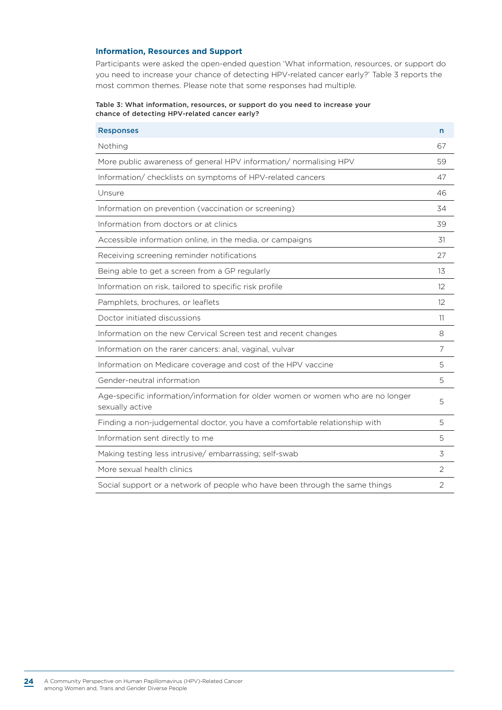#### **Information, Resources and Support**

Participants were asked the open-ended question 'What information, resources, or support do you need to increase your chance of detecting HPV-related cancer early?' Table 3 reports the most common themes. Please note that some responses had multiple.

#### Table 3: What information, resources, or support do you need to increase your chance of detecting HPV-related cancer early?

| <b>Responses</b>                                                                                   | n              |
|----------------------------------------------------------------------------------------------------|----------------|
| Nothing                                                                                            | 67             |
| More public awareness of general HPV information/ normalising HPV                                  | 59             |
| Information/ checklists on symptoms of HPV-related cancers                                         | 47             |
| Unsure                                                                                             | 46             |
| Information on prevention (vaccination or screening)                                               | 34             |
| Information from doctors or at clinics                                                             | 39             |
| Accessible information online, in the media, or campaigns                                          | 31             |
| Receiving screening reminder notifications                                                         | 27             |
| Being able to get a screen from a GP regularly                                                     | 13             |
| Information on risk, tailored to specific risk profile                                             | 12             |
| Pamphlets, brochures, or leaflets                                                                  | 12             |
| Doctor initiated discussions                                                                       | 11             |
| Information on the new Cervical Screen test and recent changes                                     | 8              |
| Information on the rarer cancers: anal, vaginal, vulvar                                            | 7              |
| Information on Medicare coverage and cost of the HPV vaccine                                       | 5              |
| Gender-neutral information                                                                         | 5              |
| Age-specific information/information for older women or women who are no longer<br>sexually active | 5              |
| Finding a non-judgemental doctor, you have a comfortable relationship with                         | 5              |
| Information sent directly to me                                                                    | 5              |
| Making testing less intrusive/embarrassing; self-swab                                              | 3              |
| More sexual health clinics                                                                         | 2              |
| Social support or a network of people who have been through the same things                        | $\overline{2}$ |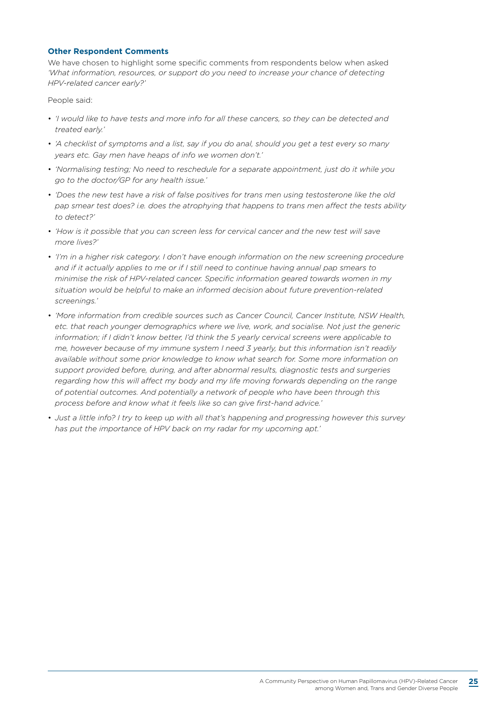#### **Other Respondent Comments**

We have chosen to highlight some specific comments from respondents below when asked *'What information, resources, or support do you need to increase your chance of detecting HPV-related cancer early?'*

People said:

- *'I would like to have tests and more info for all these cancers, so they can be detected and treated early.'*
- *'A checklist of symptoms and a list, say if you do anal, should you get a test every so many years etc. Gay men have heaps of info we women don't.'*
- *'Normalising testing; No need to reschedule for a separate appointment, just do it while you go to the doctor/GP for any health issue.'*
- *'Does the new test have a risk of false positives for trans men using testosterone like the old pap smear test does? i.e. does the atrophying that happens to trans men affect the tests ability to detect?'*
- *'How is it possible that you can screen less for cervical cancer and the new test will save more lives?'*
- *'I'm in a higher risk category. I don't have enough information on the new screening procedure and if it actually applies to me or if I still need to continue having annual pap smears to minimise the risk of HPV-related cancer. Specific information geared towards women in my situation would be helpful to make an informed decision about future prevention-related screenings.'*
- *'More information from credible sources such as Cancer Council, Cancer Institute, NSW Health, etc. that reach younger demographics where we live, work, and socialise. Not just the generic information; if I didn't know better, I'd think the 5 yearly cervical screens were applicable to me, however because of my immune system I need 3 yearly, but this information isn't readily available without some prior knowledge to know what search for. Some more information on support provided before, during, and after abnormal results, diagnostic tests and surgeries regarding how this will affect my body and my life moving forwards depending on the range of potential outcomes. And potentially a network of people who have been through this process before and know what it feels like so can give first-hand advice.'*
- *Just a little info? I try to keep up with all that's happening and progressing however this survey has put the importance of HPV back on my radar for my upcoming apt.'*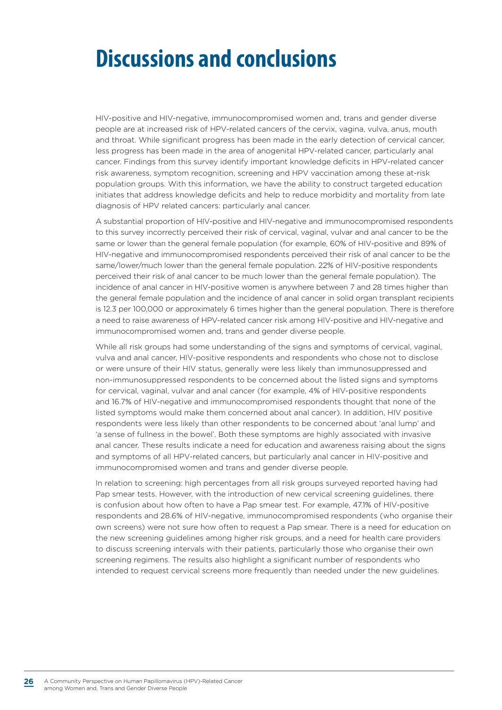# **Discussions and conclusions**

HIV-positive and HIV-negative, immunocompromised women and, trans and gender diverse people are at increased risk of HPV-related cancers of the cervix, vagina, vulva, anus, mouth and throat. While significant progress has been made in the early detection of cervical cancer, less progress has been made in the area of anogenital HPV-related cancer, particularly anal cancer. Findings from this survey identify important knowledge deficits in HPV-related cancer risk awareness, symptom recognition, screening and HPV vaccination among these at-risk population groups. With this information, we have the ability to construct targeted education initiates that address knowledge deficits and help to reduce morbidity and mortality from late diagnosis of HPV related cancers: particularly anal cancer.

A substantial proportion of HIV-positive and HIV-negative and immunocompromised respondents to this survey incorrectly perceived their risk of cervical, vaginal, vulvar and anal cancer to be the same or lower than the general female population (for example, 60% of HIV-positive and 89% of HIV-negative and immunocompromised respondents perceived their risk of anal cancer to be the same/lower/much lower than the general female population. 22% of HIV-positive respondents perceived their risk of anal cancer to be much lower than the general female population). The incidence of anal cancer in HIV-positive women is anywhere between 7 and 28 times higher than the general female population and the incidence of anal cancer in solid organ transplant recipients is 12.3 per 100,000 or approximately 6 times higher than the general population. There is therefore a need to raise awareness of HPV-related cancer risk among HIV-positive and HIV-negative and immunocompromised women and, trans and gender diverse people.

While all risk groups had some understanding of the signs and symptoms of cervical, vaginal, vulva and anal cancer, HIV-positive respondents and respondents who chose not to disclose or were unsure of their HIV status, generally were less likely than immunosuppressed and non-immunosuppressed respondents to be concerned about the listed signs and symptoms for cervical, vaginal, vulvar and anal cancer (for example, 4% of HIV-positive respondents and 16.7% of HIV-negative and immunocompromised respondents thought that none of the listed symptoms would make them concerned about anal cancer). In addition, HIV positive respondents were less likely than other respondents to be concerned about 'anal lump' and 'a sense of fullness in the bowel'. Both these symptoms are highly associated with invasive anal cancer. These results indicate a need for education and awareness raising about the signs and symptoms of all HPV-related cancers, but particularly anal cancer in HIV-positive and immunocompromised women and trans and gender diverse people.

In relation to screening: high percentages from all risk groups surveyed reported having had Pap smear tests. However, with the introduction of new cervical screening guidelines, there is confusion about how often to have a Pap smear test. For example, 47.1% of HIV-positive respondents and 28.6% of HIV-negative, immunocompromised respondents (who organise their own screens) were not sure how often to request a Pap smear. There is a need for education on the new screening guidelines among higher risk groups, and a need for health care providers to discuss screening intervals with their patients, particularly those who organise their own screening regimens. The results also highlight a significant number of respondents who intended to request cervical screens more frequently than needed under the new guidelines.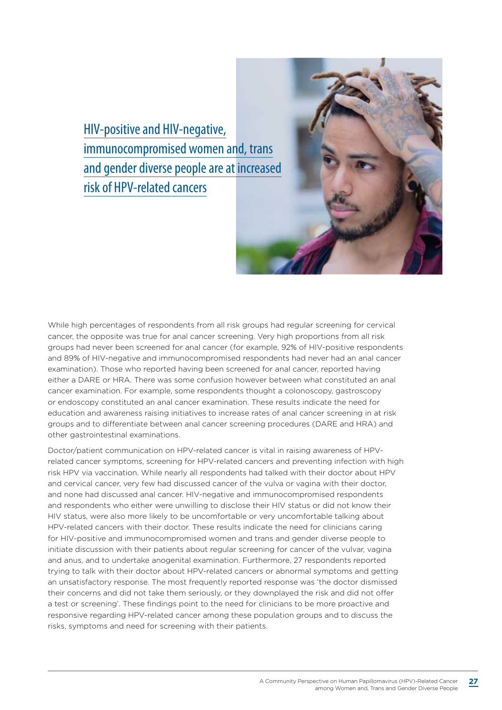HIV-positive and HIV-negative, immunocompromised women and, trans and gender diverse people are at increased risk of HPV-related cancers



While high percentages of respondents from all risk groups had regular screening for cervical cancer, the opposite was true for anal cancer screening. Very high proportions from all risk groups had never been screened for anal cancer (for example, 92% of HIV-positive respondents and 89% of HIV-negative and immunocompromised respondents had never had an anal cancer examination). Those who reported having been screened for anal cancer, reported having either a DARE or HRA. There was some confusion however between what constituted an anal cancer examination. For example, some respondents thought a colonoscopy, gastroscopy or endoscopy constituted an anal cancer examination. These results indicate the need for education and awareness raising initiatives to increase rates of anal cancer screening in at risk groups and to differentiate between anal cancer screening procedures (DARE and HRA) and other gastrointestinal examinations.

Doctor/patient communication on HPV-related cancer is vital in raising awareness of HPVrelated cancer symptoms, screening for HPV-related cancers and preventing infection with high risk HPV via vaccination. While nearly all respondents had talked with their doctor about HPV and cervical cancer, very few had discussed cancer of the vulva or vagina with their doctor, and none had discussed anal cancer. HIV-negative and immunocompromised respondents and respondents who either were unwilling to disclose their HIV status or did not know their HIV status, were also more likely to be uncomfortable or very uncomfortable talking about HPV-related cancers with their doctor. These results indicate the need for clinicians caring for HIV-positive and immunocompromised women and trans and gender diverse people to initiate discussion with their patients about regular screening for cancer of the vulvar, vagina and anus, and to undertake anogenital examination. Furthermore, 27 respondents reported trying to talk with their doctor about HPV-related cancers or abnormal symptoms and getting an unsatisfactory response. The most frequently reported response was 'the doctor dismissed their concerns and did not take them seriously, or they downplayed the risk and did not offer a test or screening'. These findings point to the need for clinicians to be more proactive and responsive regarding HPV-related cancer among these population groups and to discuss the risks, symptoms and need for screening with their patients.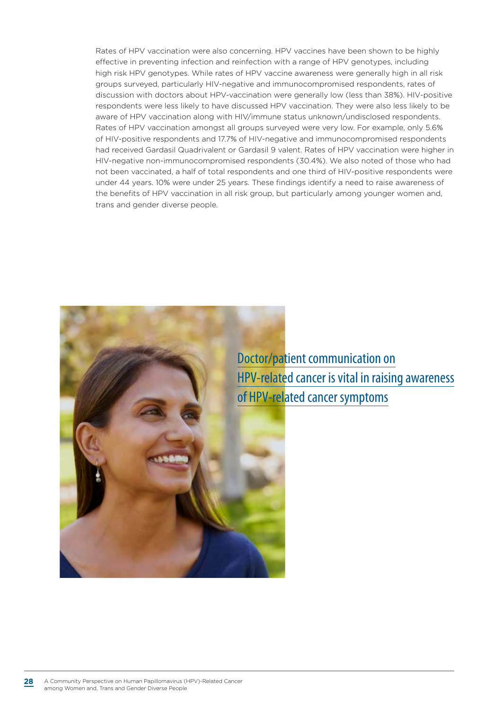Rates of HPV vaccination were also concerning. HPV vaccines have been shown to be highly effective in preventing infection and reinfection with a range of HPV genotypes, including high risk HPV genotypes. While rates of HPV vaccine awareness were generally high in all risk groups surveyed, particularly HIV-negative and immunocompromised respondents, rates of discussion with doctors about HPV-vaccination were generally low (less than 38%). HIV-positive respondents were less likely to have discussed HPV vaccination. They were also less likely to be aware of HPV vaccination along with HIV/immune status unknown/undisclosed respondents. Rates of HPV vaccination amongst all groups surveyed were very low. For example, only 5.6% of HIV-positive respondents and 17.7% of HIV-negative and immunocompromised respondents had received Gardasil Quadrivalent or Gardasil 9 valent. Rates of HPV vaccination were higher in HIV-negative non-immunocompromised respondents (30.4%). We also noted of those who had not been vaccinated, a half of total respondents and one third of HIV-positive respondents were under 44 years. 10% were under 25 years. These findings identify a need to raise awareness of the benefits of HPV vaccination in all risk group, but particularly among younger women and, trans and gender diverse people.



Doctor/patient communication on HPV-related cancer is vital in raising awareness of HPV-related cancer symptoms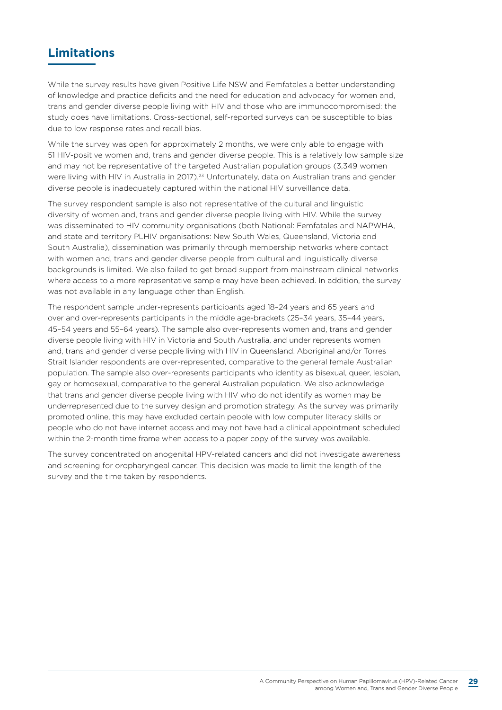### **Limitations**

While the survey results have given Positive Life NSW and Femfatales a better understanding of knowledge and practice deficits and the need for education and advocacy for women and, trans and gender diverse people living with HIV and those who are immunocompromised: the study does have limitations. Cross-sectional, self-reported surveys can be susceptible to bias due to low response rates and recall bias.

While the survey was open for approximately 2 months, we were only able to engage with 51 HIV-positive women and, trans and gender diverse people. This is a relatively low sample size and may not be representative of the targeted Australian population groups (3,349 women were living with HIV in Australia in 2017).<sup>23</sup> Unfortunately, data on Australian trans and gender diverse people is inadequately captured within the national HIV surveillance data.

The survey respondent sample is also not representative of the cultural and linguistic diversity of women and, trans and gender diverse people living with HIV. While the survey was disseminated to HIV community organisations (both National: Femfatales and NAPWHA, and state and territory PLHIV organisations: New South Wales, Queensland, Victoria and South Australia), dissemination was primarily through membership networks where contact with women and, trans and gender diverse people from cultural and linguistically diverse backgrounds is limited. We also failed to get broad support from mainstream clinical networks where access to a more representative sample may have been achieved. In addition, the survey was not available in any language other than English.

The respondent sample under-represents participants aged 18–24 years and 65 years and over and over-represents participants in the middle age-brackets (25–34 years, 35–44 years, 45–54 years and 55–64 years). The sample also over-represents women and, trans and gender diverse people living with HIV in Victoria and South Australia, and under represents women and, trans and gender diverse people living with HIV in Queensland. Aboriginal and/or Torres Strait Islander respondents are over-represented, comparative to the general female Australian population. The sample also over-represents participants who identity as bisexual, queer, lesbian, gay or homosexual, comparative to the general Australian population. We also acknowledge that trans and gender diverse people living with HIV who do not identify as women may be underrepresented due to the survey design and promotion strategy. As the survey was primarily promoted online, this may have excluded certain people with low computer literacy skills or people who do not have internet access and may not have had a clinical appointment scheduled within the 2-month time frame when access to a paper copy of the survey was available.

The survey concentrated on anogenital HPV-related cancers and did not investigate awareness and screening for oropharyngeal cancer. This decision was made to limit the length of the survey and the time taken by respondents.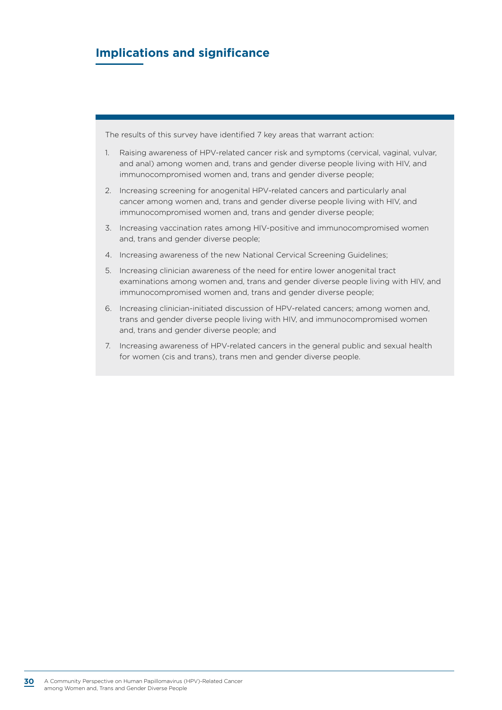### **Implications and significance**

The results of this survey have identified 7 key areas that warrant action:

- 1. Raising awareness of HPV-related cancer risk and symptoms (cervical, vaginal, vulvar, and anal) among women and, trans and gender diverse people living with HIV, and immunocompromised women and, trans and gender diverse people;
- 2. Increasing screening for anogenital HPV-related cancers and particularly anal cancer among women and, trans and gender diverse people living with HIV, and immunocompromised women and, trans and gender diverse people;
- 3. Increasing vaccination rates among HIV-positive and immunocompromised women and, trans and gender diverse people;
- 4. Increasing awareness of the new National Cervical Screening Guidelines;
- 5. Increasing clinician awareness of the need for entire lower anogenital tract examinations among women and, trans and gender diverse people living with HIV, and immunocompromised women and, trans and gender diverse people;
- 6. Increasing clinician-initiated discussion of HPV-related cancers; among women and, trans and gender diverse people living with HIV, and immunocompromised women and, trans and gender diverse people; and
- 7. Increasing awareness of HPV-related cancers in the general public and sexual health for women (cis and trans), trans men and gender diverse people.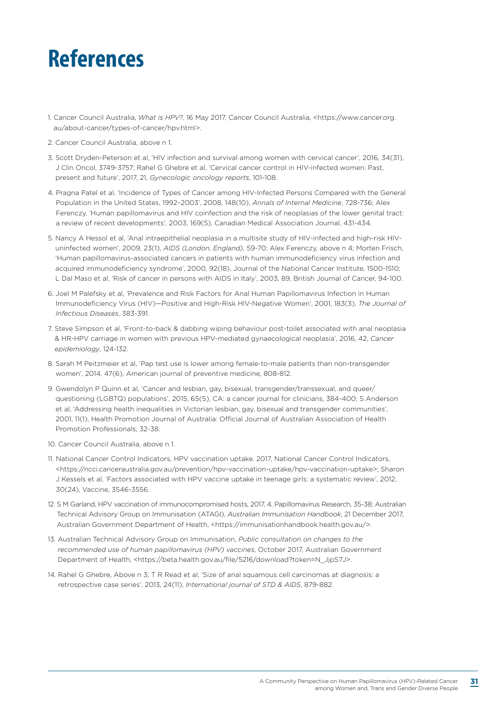# **References**

- 1. Cancer Council Australia, *What is HPV?*, 16 May 2017, Cancer Council Australia, <https://www.cancer.org. au/about-cancer/types-of-cancer/hpv.html>.
- 2. Cancer Council Australia, above n 1.
- 3. Scott Dryden-Peterson et al, 'HIV infection and survival among women with cervical cancer', 2016, 34(31), J Clin Oncol, 3749-3757; Rahel G Ghebre et al, 'Cervical cancer control in HIV-infected women: Past, present and future', 2017, 21, *Gynecologic oncology reports*, 101-108.
- 4. Pragna Patel et al, 'Incidence of Types of Cancer among HIV-Infected Persons Compared with the General Population in the United States, 1992–2003', 2008, 148(10), *Annals of Internal Medicine*, 728-736; Alex Ferenczy, 'Human papillomavirus and HIV coinfection and the risk of neoplasias of the lower genital tract: a review of recent developments', 2003, 169(5), Canadian Medical Association Journal, 431-434.
- 5. Nancy A Hessol et al, 'Anal intraepithelial neoplasia in a multisite study of HIV-infected and high-risk HIVuninfected women', 2009, 23(1), *AIDS (London, England)*, 59-70; Alex Ferenczy, above n 4; Morten Frisch, 'Human papillomavirus-associated cancers in patients with human immunodeficiency virus infection and acquired immunodeficiency syndrome', 2000, 92(18), Journal of the National Cancer Institute, 1500-1510; L Dal Maso et al, 'Risk of cancer in persons with AIDS in Italy', 2003, 89, British Journal of Cancer, 94-100.
- 6. Joel M Palefsky et al, 'Prevalence and Risk Factors for Anal Human Papillomavirus Infection in Human Immunodeficiency Virus (HIV)—Positive and High-Risk HIV-Negative Women', 2001, 183(3), *The Journal of Infectious Diseases*, 383-391.
- 7. Steve Simpson et al, 'Front-to-back & dabbing wiping behaviour post-toilet associated with anal neoplasia & HR-HPV carriage in women with previous HPV-mediated gynaecological neoplasia', 2016, 42, *Cancer epidemiology*, 124-132.
- 8. Sarah M Peitzmeier et al, 'Pap test use is lower among female-to-male patients than non-transgender women', 2014, 47(6), American journal of preventive medicine, 808-812.
- 9. Gwendolyn P Quinn et al, 'Cancer and lesbian, gay, bisexual, transgender/transsexual, and queer/ questioning (LGBTQ) populations', 2015, 65(5), CA: a cancer journal for clinicians, 384-400; S Anderson et al, 'Addressing health inequalities in Victorian lesbian, gay, bisexual and transgender communities', 2001, 11(1), Health Promotion Journal of Australia: Official Journal of Australian Association of Health Promotion Professionals, 32-38.
- 10. Cancer Council Australia, above n 1.
- 11. National Cancer Control Indicators, HPV vaccination uptake. 2017, National Cancer Control Indicators, <https://ncci.canceraustralia.gov.au/prevention/hpv-vaccination-uptake/hpv-vaccination-uptake>; Sharon J Kessels et al, 'Factors associated with HPV vaccine uptake in teenage girls: a systematic review', 2012, 30(24), Vaccine, 3546-3556.
- 12. S M Garland, HPV vaccination of immunocompromised hosts, 2017, 4, Papillomavirus Research, 35-38; Australian Technical Advisory Group on Immunisation (ATAGI), *Australian Immunisation Handbook*, 21 December 2017, Australian Government Department of Health, <https://immunisationhandbook.health.gov.au/>.
- 13. Australian Technical Advisory Group on Immunisation, *Public consultation on changes to the recommended use of human papillomavirus (HPV) vaccines*, October 2017, Australian Government Department of Health, <https://beta.health.gov.au/file/5216/download?token=N\_JjpS7J>.
- 14. Rahel G Ghebre, Above n 3; T R Read et al, 'Size of anal squamous cell carcinomas at diagnosis: a retrospective case series', 2013, 24(11), *International journal of STD & AIDS*, 879-882.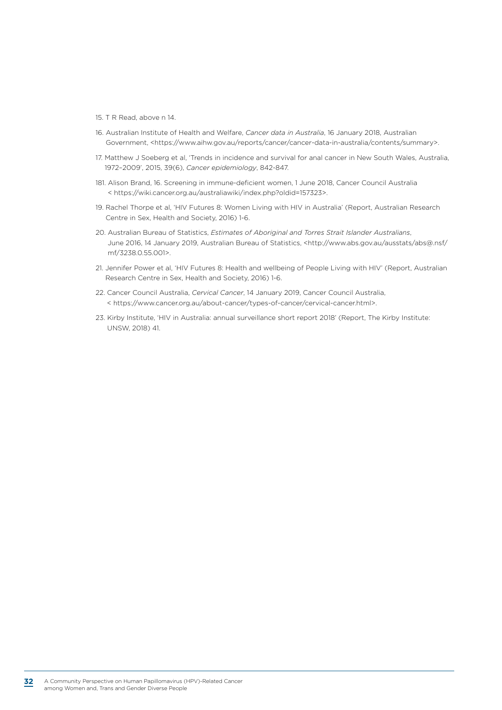- 15. T R Read, above n 14.
- 16. Australian Institute of Health and Welfare, *Cancer data in Australia*, 16 January 2018, Australian Government, <https://www.aihw.gov.au/reports/cancer/cancer-data-in-australia/contents/summary>.
- 17. Matthew J Soeberg et al, 'Trends in incidence and survival for anal cancer in New South Wales, Australia, 1972–2009', 2015, 39(6), *Cancer epidemiology*, 842-847.
- 181. Alison Brand, 16. Screening in immune-deficient women, 1 June 2018, Cancer Council Australia < https://wiki.cancer.org.au/australiawiki/index.php?oldid=157323>.
- 19. Rachel Thorpe et al, 'HIV Futures 8: Women Living with HIV in Australia' (Report, Australian Research Centre in Sex, Health and Society, 2016) 1-6.
- 20. Australian Bureau of Statistics, *Estimates of Aboriginal and Torres Strait Islander Australians*, June 2016, 14 January 2019, Australian Bureau of Statistics, <http://www.abs.gov.au/ausstats/abs@.nsf/ mf/3238.0.55.001>.
- 21. Jennifer Power et al, 'HIV Futures 8: Health and wellbeing of People Living with HIV' (Report, Australian Research Centre in Sex, Health and Society, 2016) 1-6.
- 22. Cancer Council Australia, *Cervical Cancer*, 14 January 2019, Cancer Council Australia, < https://www.cancer.org.au/about-cancer/types-of-cancer/cervical-cancer.html>.
- 23. Kirby Institute, 'HIV in Australia: annual surveillance short report 2018' (Report, The Kirby Institute: UNSW, 2018) 41.